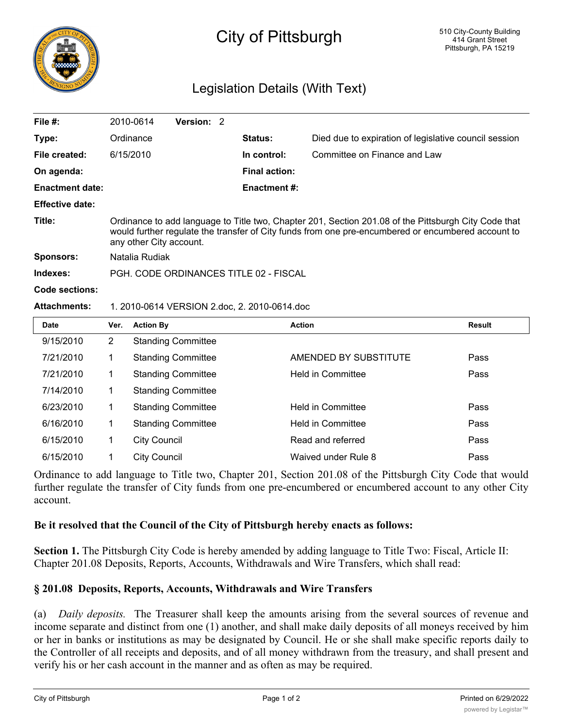

# City of Pittsburgh

## Legislation Details (With Text)

| File #:                | 2010-0614                                                                                                                                                                                                                             | <b>Version: 2</b> |  |                      |                                                       |  |
|------------------------|---------------------------------------------------------------------------------------------------------------------------------------------------------------------------------------------------------------------------------------|-------------------|--|----------------------|-------------------------------------------------------|--|
| Type:                  | Ordinance                                                                                                                                                                                                                             |                   |  | <b>Status:</b>       | Died due to expiration of legislative council session |  |
| File created:          | 6/15/2010                                                                                                                                                                                                                             |                   |  | In control:          | Committee on Finance and Law                          |  |
| On agenda:             |                                                                                                                                                                                                                                       |                   |  | <b>Final action:</b> |                                                       |  |
| <b>Enactment date:</b> |                                                                                                                                                                                                                                       |                   |  | <b>Enactment #:</b>  |                                                       |  |
| <b>Effective date:</b> |                                                                                                                                                                                                                                       |                   |  |                      |                                                       |  |
| Title:                 | Ordinance to add language to Title two, Chapter 201, Section 201.08 of the Pittsburgh City Code that<br>would further regulate the transfer of City funds from one pre-encumbered or encumbered account to<br>any other City account. |                   |  |                      |                                                       |  |
| <b>Sponsors:</b>       | Natalia Rudiak                                                                                                                                                                                                                        |                   |  |                      |                                                       |  |
| Indexes:               | PGH, CODE ORDINANCES TITLE 02 - FISCAL                                                                                                                                                                                                |                   |  |                      |                                                       |  |
| Code sections:         |                                                                                                                                                                                                                                       |                   |  |                      |                                                       |  |
| <b>Attachments:</b>    | 1. 2010-0614 VERSION 2.doc, 2. 2010-0614.doc                                                                                                                                                                                          |                   |  |                      |                                                       |  |

| <b>Date</b> | Ver.                  | <b>Action By</b>          | <b>Action</b>            | Result |
|-------------|-----------------------|---------------------------|--------------------------|--------|
| 9/15/2010   | $\mathbf{2}^{\prime}$ | <b>Standing Committee</b> |                          |        |
| 7/21/2010   |                       | <b>Standing Committee</b> | AMENDED BY SUBSTITUTE    | Pass   |
| 7/21/2010   |                       | <b>Standing Committee</b> | <b>Held in Committee</b> | Pass   |
| 7/14/2010   |                       | <b>Standing Committee</b> |                          |        |
| 6/23/2010   | 1                     | <b>Standing Committee</b> | <b>Held in Committee</b> | Pass   |
| 6/16/2010   | 1                     | <b>Standing Committee</b> | <b>Held in Committee</b> | Pass   |
| 6/15/2010   |                       | <b>City Council</b>       | Read and referred        | Pass   |
| 6/15/2010   |                       | <b>City Council</b>       | Waived under Rule 8      | Pass   |

Ordinance to add language to Title two, Chapter 201, Section 201.08 of the Pittsburgh City Code that would further regulate the transfer of City funds from one pre-encumbered or encumbered account to any other City account.

#### **Be it resolved that the Council of the City of Pittsburgh hereby enacts as follows:**

**Section 1.** The Pittsburgh City Code is hereby amended by adding language to Title Two: Fiscal, Article II: Chapter 201.08 Deposits, Reports, Accounts, Withdrawals and Wire Transfers, which shall read:

### **§ 201.08 Deposits, Reports, Accounts, Withdrawals and Wire Transfers**

(a) *Daily deposits.* The Treasurer shall keep the amounts arising from the several sources of revenue and income separate and distinct from one (1) another, and shall make daily deposits of all moneys received by him or her in banks or institutions as may be designated by Council. He or she shall make specific reports daily to the Controller of all receipts and deposits, and of all money withdrawn from the treasury, and shall present and verify his or her cash account in the manner and as often as may be required.